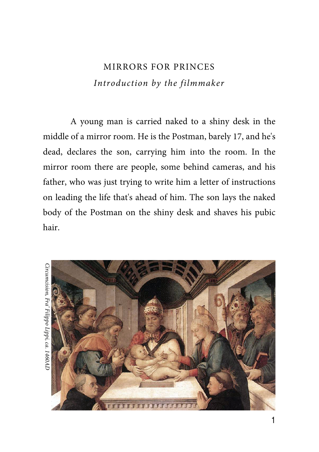## MIRRORS FOR PRINCES Introduction by the filmmaker

A young man is carried naked to a shiny desk in the middle of a mirror room. He is the Postman, barely 17, and he's dead, declares the son, carrying him into the room. In the mirror room there are people, some behind cameras, and his father, who was just trying to write him a letter of instructions on leading the life that's ahead of him. The son lays the naked body of the Postman on the shiny desk and shaves his pubic hair.

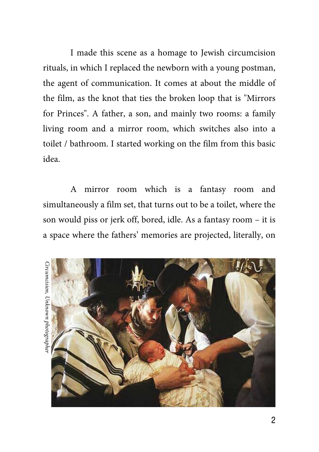I made this scene as a homage to Jewish circumcision rituals, in which I replaced the newborn with a young postman, the agent of communication. It comes at about the middle of the film, as the knot that ties the broken loop that is "Mirrors for Princes". A father, a son, and mainly two rooms: a family living room and a mirror room, which switches also into a toilet / bathroom. I started working on the film from this basic idea.

A mirror room which is a fantasy room and simultaneously a film set, that turns out to be a toilet, where the son would piss or jerk off, bored, idle. As a fantasy room – it is a space where the fathers' memories are projected, literally, on

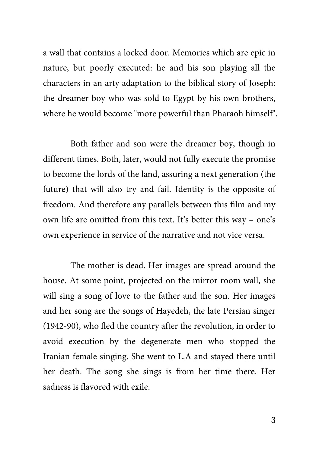a wall that contains a locked door. Memories which are epic in nature, but poorly executed: he and his son playing all the characters in an arty adaptation to the biblical story of Joseph: the dreamer boy who was sold to Egypt by his own brothers, where he would become "more powerful than Pharaoh himself".

Both father and son were the dreamer boy, though in different times. Both, later, would not fully execute the promise to become the lords of the land, assuring a next generation (the future) that will also try and fail. Identity is the opposite of freedom. And therefore any parallels between this film and my own life are omitted from this text. It's better this way – one's own experience in service of the narrative and not vice versa.

The mother is dead. Her images are spread around the house. At some point, projected on the mirror room wall, she will sing a song of love to the father and the son. Her images and her song are the songs of Hayedeh, the late Persian singer (1942-90), who fled the country after the revolution, in order to avoid execution by the degenerate men who stopped the Iranian female singing. She went to L.A and stayed there until her death. The song she sings is from her time there. Her sadness is flavored with exile.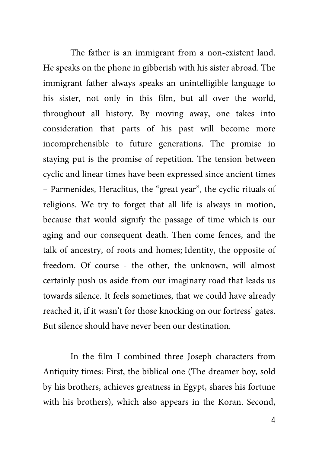The father is an immigrant from a non-existent land. He speaks on the phone in gibberish with his sister abroad. The immigrant father always speaks an unintelligible language to his sister, not only in this film, but all over the world, throughout all history. By moving away, one takes into consideration that parts of his past will become more incomprehensible to future generations. The promise in staying put is the promise of repetition. The tension between cyclic and linear times have been expressed since ancient times – Parmenides, Heraclitus, the "great year", the cyclic rituals of religions. We try to forget that all life is always in motion, because that would signify the passage of time which is our aging and our consequent death. Then come fences, and the talk of ancestry, of roots and homes; Identity, the opposite of freedom. Of course - the other, the unknown, will almost certainly push us aside from our imaginary road that leads us towards silence. It feels sometimes, that we could have already reached it, if it wasn't for those knocking on our fortress' gates. But silence should have never been our destination.

In the film I combined three Joseph characters from Antiquity times: First, the biblical one (The dreamer boy, sold by his brothers, achieves greatness in Egypt, shares his fortune with his brothers), which also appears in the Koran. Second,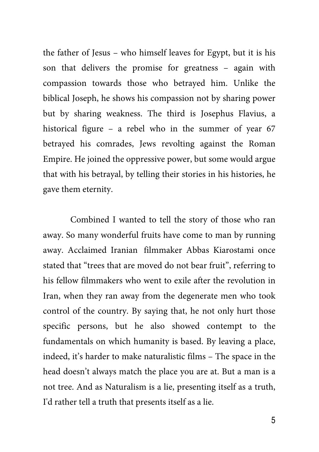the father of Jesus – who himself leaves for Egypt, but it is his son that delivers the promise for greatness – again with compassion towards those who betrayed him. Unlike the biblical Joseph, he shows his compassion not by sharing power but by sharing weakness. The third is Josephus Flavius, a historical figure – a rebel who in the summer of year 67 betrayed his comrades, Jews revolting against the Roman Empire. He joined the oppressive power, but some would argue that with his betrayal, by telling their stories in his histories, he gave them eternity.

Combined I wanted to tell the story of those who ran away. So many wonderful fruits have come to man by running away. Acclaimed Iranian filmmaker Abbas Kiarostami once stated that "trees that are moved do not bear fruit", referring to his fellow filmmakers who went to exile after the revolution in Iran, when they ran away from the degenerate men who took control of the country. By saying that, he not only hurt those specific persons, but he also showed contempt to the fundamentals on which humanity is based. By leaving a place, indeed, it's harder to make naturalistic films – The space in the head doesn't always match the place you are at. But a man is a not tree. And as Naturalism is a lie, presenting itself as a truth, I'd rather tell a truth that presents itself as a lie.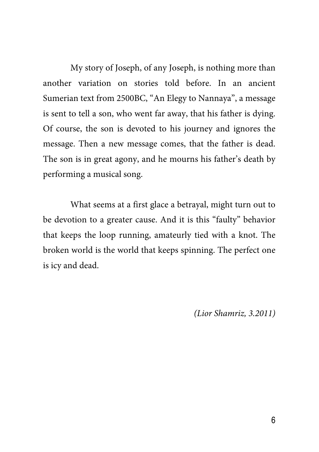My story of Joseph, of any Joseph, is nothing more than another variation on stories told before. In an ancient Sumerian text from 2500BC, "An Elegy to Nannaya", a message is sent to tell a son, who went far away, that his father is dying. Of course, the son is devoted to his journey and ignores the message. Then a new message comes, that the father is dead. The son is in great agony, and he mourns his father's death by performing a musical song.

What seems at a first glace a betrayal, might turn out to be devotion to a greater cause. And it is this "faulty" behavior that keeps the loop running, amateurly tied with a knot. The broken world is the world that keeps spinning. The perfect one is icy and dead.

(Lior Shamriz, 3.2011)